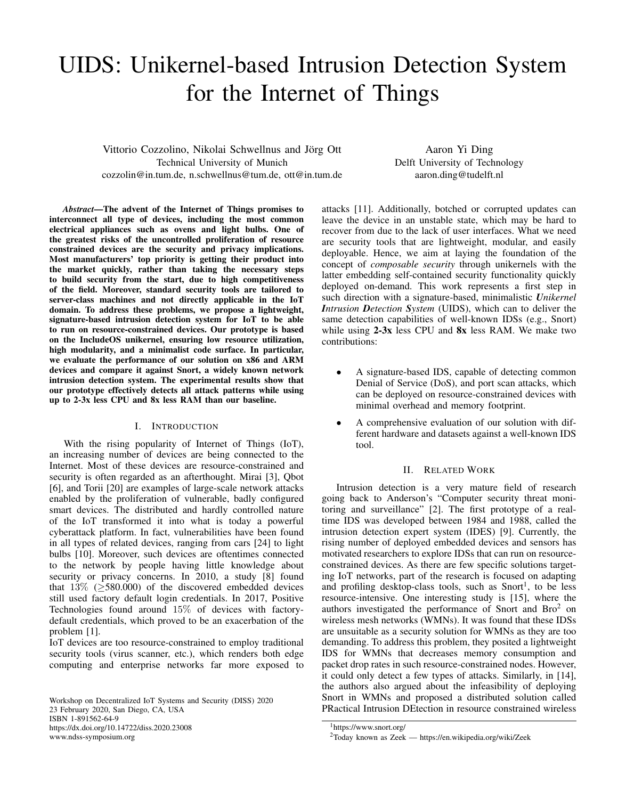# UIDS: Unikernel-based Intrusion Detection System for the Internet of Things

Vittorio Cozzolino, Nikolai Schwellnus and Jörg Ott Technical University of Munich cozzolin@in.tum.de, n.schwellnus@tum.de, ott@in.tum.de

Aaron Yi Ding Delft University of Technology aaron.ding@tudelft.nl

*Abstract*—The advent of the Internet of Things promises to interconnect all type of devices, including the most common electrical appliances such as ovens and light bulbs. One of the greatest risks of the uncontrolled proliferation of resource constrained devices are the security and privacy implications. Most manufacturers' top priority is getting their product into the market quickly, rather than taking the necessary steps to build security from the start, due to high competitiveness of the field. Moreover, standard security tools are tailored to server-class machines and not directly applicable in the IoT domain. To address these problems, we propose a lightweight, signature-based intrusion detection system for IoT to be able to run on resource-constrained devices. Our prototype is based on the IncludeOS unikernel, ensuring low resource utilization, high modularity, and a minimalist code surface. In particular, we evaluate the performance of our solution on x86 and ARM devices and compare it against Snort, a widely known network intrusion detection system. The experimental results show that our prototype effectively detects all attack patterns while using up to 2-3x less CPU and 8x less RAM than our baseline.

# I. INTRODUCTION

With the rising popularity of Internet of Things (IoT), an increasing number of devices are being connected to the Internet. Most of these devices are resource-constrained and security is often regarded as an afterthought. Mirai [3], Qbot [6], and Torii [20] are examples of large-scale network attacks enabled by the proliferation of vulnerable, badly configured smart devices. The distributed and hardly controlled nature of the IoT transformed it into what is today a powerful cyberattack platform. In fact, vulnerabilities have been found in all types of related devices, ranging from cars [24] to light bulbs [10]. Moreover, such devices are oftentimes connected to the network by people having little knowledge about security or privacy concerns. In 2010, a study [8] found that  $13\%$  ( $\geq$ 580.000) of the discovered embedded devices still used factory default login credentials. In 2017, Positive Technologies found around 15% of devices with factorydefault credentials, which proved to be an exacerbation of the problem [1].

IoT devices are too resource-constrained to employ traditional security tools (virus scanner, etc.), which renders both edge computing and enterprise networks far more exposed to

Workshop on Decentralized IoT Systems and Security (DISS) 2020 23 February 2020, San Diego, CA, USA ISBN 1-891562-64-9 https://dx.doi.org/10.14722/diss.2020.23008 www.ndss-symposium.org

attacks [11]. Additionally, botched or corrupted updates can leave the device in an unstable state, which may be hard to recover from due to the lack of user interfaces. What we need are security tools that are lightweight, modular, and easily deployable. Hence, we aim at laying the foundation of the concept of *composable security* through unikernels with the latter embedding self-contained security functionality quickly deployed on-demand. This work represents a first step in such direction with a signature-based, minimalistic *Unikernel Intrusion Detection System* (UIDS), which can to deliver the same detection capabilities of well-known IDSs (e.g., Snort) while using  $2-3x$  less CPU and  $8x$  less RAM. We make two contributions:

- A signature-based IDS, capable of detecting common Denial of Service (DoS), and port scan attacks, which can be deployed on resource-constrained devices with minimal overhead and memory footprint.
- A comprehensive evaluation of our solution with different hardware and datasets against a well-known IDS tool.

## II. RELATED WORK

Intrusion detection is a very mature field of research going back to Anderson's "Computer security threat monitoring and surveillance" [2]. The first prototype of a realtime IDS was developed between 1984 and 1988, called the intrusion detection expert system (IDES) [9]. Currently, the rising number of deployed embedded devices and sensors has motivated researchers to explore IDSs that can run on resourceconstrained devices. As there are few specific solutions targeting IoT networks, part of the research is focused on adapting and profiling desktop-class tools, such as  $Snort<sup>1</sup>$ , to be less resource-intensive. One interesting study is [15], where the authors investigated the performance of Snort and Bro<sup>2</sup> on wireless mesh networks (WMNs). It was found that these IDSs are unsuitable as a security solution for WMNs as they are too demanding. To address this problem, they posited a lightweight IDS for WMNs that decreases memory consumption and packet drop rates in such resource-constrained nodes. However, it could only detect a few types of attacks. Similarly, in [14], the authors also argued about the infeasibility of deploying Snort in WMNs and proposed a distributed solution called PRactical Intrusion DEtection in resource constrained wireless

<sup>1</sup>https://www.snort.org/

<sup>2</sup>Today known as Zeek — https://en.wikipedia.org/wiki/Zeek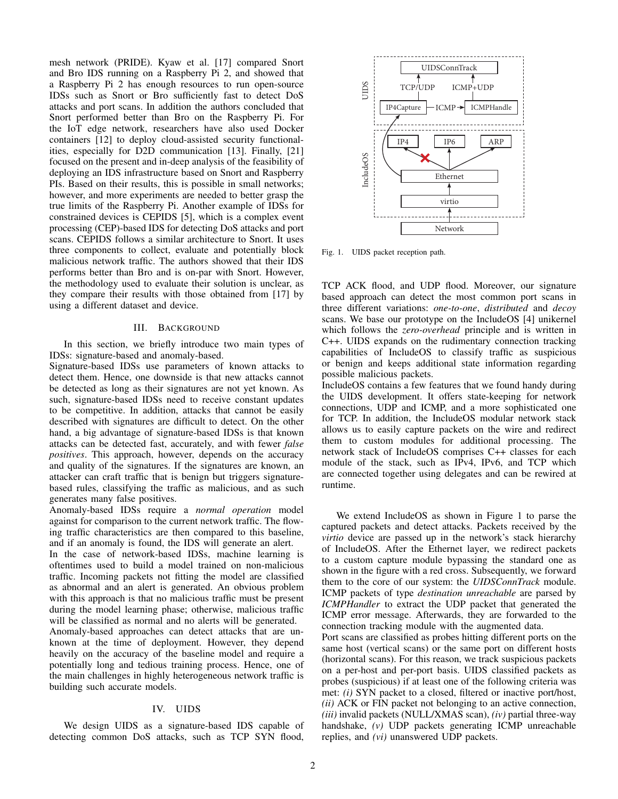mesh network (PRIDE). Kyaw et al. [17] compared Snort and Bro IDS running on a Raspberry Pi 2, and showed that a Raspberry Pi 2 has enough resources to run open-source IDSs such as Snort or Bro sufficiently fast to detect DoS attacks and port scans. In addition the authors concluded that Snort performed better than Bro on the Raspberry Pi. For the IoT edge network, researchers have also used Docker containers [12] to deploy cloud-assisted security functionalities, especially for D2D communication [13]. Finally, [21] focused on the present and in-deep analysis of the feasibility of deploying an IDS infrastructure based on Snort and Raspberry PIs. Based on their results, this is possible in small networks; however, and more experiments are needed to better grasp the true limits of the Raspberry Pi. Another example of IDSs for constrained devices is CEPIDS [5], which is a complex event processing (CEP)-based IDS for detecting DoS attacks and port scans. CEPIDS follows a similar architecture to Snort. It uses three components to collect, evaluate and potentially block malicious network traffic. The authors showed that their IDS performs better than Bro and is on-par with Snort. However, the methodology used to evaluate their solution is unclear, as they compare their results with those obtained from [17] by using a different dataset and device.

## III. BACKGROUND

In this section, we briefly introduce two main types of IDSs: signature-based and anomaly-based.

Signature-based IDSs use parameters of known attacks to detect them. Hence, one downside is that new attacks cannot be detected as long as their signatures are not yet known. As such, signature-based IDSs need to receive constant updates to be competitive. In addition, attacks that cannot be easily described with signatures are difficult to detect. On the other hand, a big advantage of signature-based IDSs is that known attacks can be detected fast, accurately, and with fewer *false positives*. This approach, however, depends on the accuracy and quality of the signatures. If the signatures are known, an attacker can craft traffic that is benign but triggers signaturebased rules, classifying the traffic as malicious, and as such generates many false positives.

Anomaly-based IDSs require a *normal operation* model against for comparison to the current network traffic. The flowing traffic characteristics are then compared to this baseline, and if an anomaly is found, the IDS will generate an alert.

In the case of network-based IDSs, machine learning is oftentimes used to build a model trained on non-malicious traffic. Incoming packets not fitting the model are classified as abnormal and an alert is generated. An obvious problem with this approach is that no malicious traffic must be present during the model learning phase; otherwise, malicious traffic will be classified as normal and no alerts will be generated.

Anomaly-based approaches can detect attacks that are unknown at the time of deployment. However, they depend heavily on the accuracy of the baseline model and require a potentially long and tedious training process. Hence, one of the main challenges in highly heterogeneous network traffic is building such accurate models.

## IV. UIDS

We design UIDS as a signature-based IDS capable of detecting common DoS attacks, such as TCP SYN flood,



Fig. 1. UIDS packet reception path.

TCP ACK flood, and UDP flood. Moreover, our signature based approach can detect the most common port scans in three different variations: *one-to-one*, *distributed* and *decoy* scans. We base our prototype on the IncludeOS [4] unikernel which follows the *zero-overhead* principle and is written in C++. UIDS expands on the rudimentary connection tracking capabilities of IncludeOS to classify traffic as suspicious or benign and keeps additional state information regarding possible malicious packets.

IncludeOS contains a few features that we found handy during the UIDS development. It offers state-keeping for network connections, UDP and ICMP, and a more sophisticated one for TCP. In addition, the IncludeOS modular network stack allows us to easily capture packets on the wire and redirect them to custom modules for additional processing. The network stack of IncludeOS comprises C++ classes for each module of the stack, such as IPv4, IPv6, and TCP which are connected together using delegates and can be rewired at runtime.

We extend IncludeOS as shown in Figure 1 to parse the captured packets and detect attacks. Packets received by the *virtio* device are passed up in the network's stack hierarchy of IncludeOS. After the Ethernet layer, we redirect packets to a custom capture module bypassing the standard one as shown in the figure with a red cross. Subsequently, we forward them to the core of our system: the *UIDSConnTrack* module. ICMP packets of type *destination unreachable* are parsed by *ICMPHandler* to extract the UDP packet that generated the ICMP error message. Afterwards, they are forwarded to the connection tracking module with the augmented data.

Port scans are classified as probes hitting different ports on the same host (vertical scans) or the same port on different hosts (horizontal scans). For this reason, we track suspicious packets on a per-host and per-port basis. UIDS classified packets as probes (suspicious) if at least one of the following criteria was met: *(i)* SYN packet to a closed, filtered or inactive port/host, *(ii)* ACK or FIN packet not belonging to an active connection, *(iii)* invalid packets (NULL/XMAS scan), *(iv)* partial three-way handshake, *(v)* UDP packets generating ICMP unreachable replies, and *(vi)* unanswered UDP packets.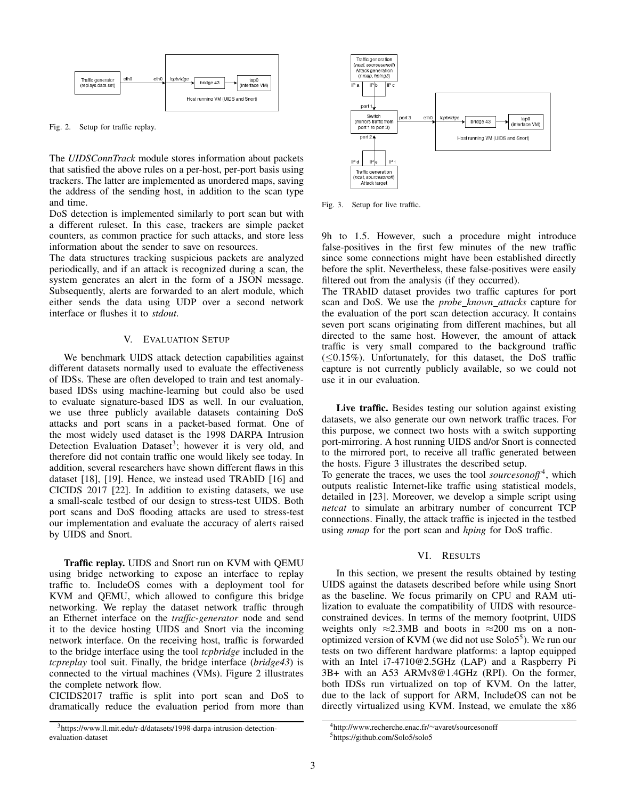

Fig. 2. Setup for traffic replay.

The *UIDSConnTrack* module stores information about packets that satisfied the above rules on a per-host, per-port basis using trackers. The latter are implemented as unordered maps, saving the address of the sending host, in addition to the scan type and time.

DoS detection is implemented similarly to port scan but with a different ruleset. In this case, trackers are simple packet counters, as common practice for such attacks, and store less information about the sender to save on resources.

The data structures tracking suspicious packets are analyzed periodically, and if an attack is recognized during a scan, the system generates an alert in the form of a JSON message. Subsequently, alerts are forwarded to an alert module, which either sends the data using UDP over a second network interface or flushes it to *stdout*.

## V. EVALUATION SETUP

We benchmark UIDS attack detection capabilities against different datasets normally used to evaluate the effectiveness of IDSs. These are often developed to train and test anomalybased IDSs using machine-learning but could also be used to evaluate signature-based IDS as well. In our evaluation, we use three publicly available datasets containing DoS attacks and port scans in a packet-based format. One of the most widely used dataset is the 1998 DARPA Intrusion Detection Evaluation Dataset<sup>3</sup>; however it is very old, and therefore did not contain traffic one would likely see today. In addition, several researchers have shown different flaws in this dataset [18], [19]. Hence, we instead used TRAbID [16] and CICIDS 2017 [22]. In addition to existing datasets, we use a small-scale testbed of our design to stress-test UIDS. Both port scans and DoS flooding attacks are used to stress-test our implementation and evaluate the accuracy of alerts raised by UIDS and Snort.

Traffic replay. UIDS and Snort run on KVM with QEMU using bridge networking to expose an interface to replay traffic to. IncludeOS comes with a deployment tool for KVM and QEMU, which allowed to configure this bridge networking. We replay the dataset network traffic through an Ethernet interface on the *traffic-generator* node and send it to the device hosting UIDS and Snort via the incoming network interface. On the receiving host, traffic is forwarded to the bridge interface using the tool *tcpbridge* included in the *tcpreplay* tool suit. Finally, the bridge interface (*bridge43*) is connected to the virtual machines (VMs). Figure 2 illustrates the complete network flow.

CICIDS2017 traffic is split into port scan and DoS to dramatically reduce the evaluation period from more than



Fig. 3. Setup for live traffic.

9h to 1.5. However, such a procedure might introduce false-positives in the first few minutes of the new traffic since some connections might have been established directly before the split. Nevertheless, these false-positives were easily filtered out from the analysis (if they occurred).

The TRAbID dataset provides two traffic captures for port scan and DoS. We use the *probe known attacks* capture for the evaluation of the port scan detection accuracy. It contains seven port scans originating from different machines, but all directed to the same host. However, the amount of attack traffic is very small compared to the background traffic  $(\leq 0.15\%)$ . Unfortunately, for this dataset, the DoS traffic capture is not currently publicly available, so we could not use it in our evaluation.

Live traffic. Besides testing our solution against existing datasets, we also generate our own network traffic traces. For this purpose, we connect two hosts with a switch supporting port-mirroring. A host running UIDS and/or Snort is connected to the mirrored port, to receive all traffic generated between the hosts. Figure 3 illustrates the described setup.

To generate the traces, we uses the tool *sourcesonoff* <sup>4</sup> , which outputs realistic Internet-like traffic using statistical models, detailed in [23]. Moreover, we develop a simple script using *netcat* to simulate an arbitrary number of concurrent TCP connections. Finally, the attack traffic is injected in the testbed using *nmap* for the port scan and *hping* for DoS traffic.

#### VI. RESULTS

In this section, we present the results obtained by testing UIDS against the datasets described before while using Snort as the baseline. We focus primarily on CPU and RAM utilization to evaluate the compatibility of UIDS with resourceconstrained devices. In terms of the memory footprint, UIDS weights only  $\approx$ 2.3MB and boots in  $\approx$ 200 ms on a nonoptimized version of KVM (we did not use  $Solo5<sup>5</sup>$ ). We run our tests on two different hardware platforms: a laptop equipped with an Intel i7-4710@2.5GHz (LAP) and a Raspberry Pi 3B+ with an A53 ARMv8@1.4GHz (RPI). On the former, both IDSs run virtualized on top of KVM. On the latter, due to the lack of support for ARM, IncludeOS can not be directly virtualized using KVM. Instead, we emulate the x86

<sup>3</sup>https://www.ll.mit.edu/r-d/datasets/1998-darpa-intrusion-detectionevaluation-dataset

<sup>4</sup>http://www.recherche.enac.fr/∼avaret/sourcesonoff

<sup>5</sup>https://github.com/Solo5/solo5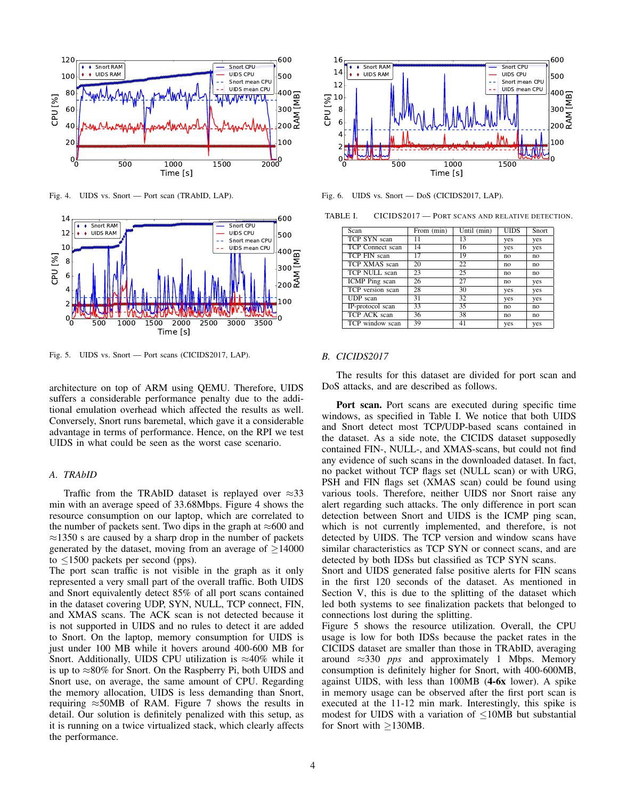

Fig. 4. UIDS vs. Snort — Port scan (TRAbID, LAP).



Fig. 5. UIDS vs. Snort — Port scans (CICIDS2017, LAP).

architecture on top of ARM using QEMU. Therefore, UIDS suffers a considerable performance penalty due to the additional emulation overhead which affected the results as well. Conversely, Snort runs baremetal, which gave it a considerable advantage in terms of performance. Hence, on the RPI we test UIDS in what could be seen as the worst case scenario.

# *A. TRAbID*

Traffic from the TRAbID dataset is replayed over  $\approx$ 33 min with an average speed of 33.68Mbps. Figure 4 shows the resource consumption on our laptop, which are correlated to the number of packets sent. Two dips in the graph at  $\approx 600$  and  $\approx$ 1350 s are caused by a sharp drop in the number of packets generated by the dataset, moving from an average of  $\geq$ 14000 to  $\leq$ 1500 packets per second (pps).

The port scan traffic is not visible in the graph as it only represented a very small part of the overall traffic. Both UIDS and Snort equivalently detect 85% of all port scans contained in the dataset covering UDP, SYN, NULL, TCP connect, FIN, and XMAS scans. The ACK scan is not detected because it is not supported in UIDS and no rules to detect it are added to Snort. On the laptop, memory consumption for UIDS is just under 100 MB while it hovers around 400-600 MB for Snort. Additionally, UIDS CPU utilization is  $\approx 40\%$  while it is up to  $\approx 80\%$  for Snort. On the Raspberry Pi, both UIDS and Snort use, on average, the same amount of CPU. Regarding the memory allocation, UIDS is less demanding than Snort, requiring  $\approx$  50MB of RAM. Figure 7 shows the results in detail. Our solution is definitely penalized with this setup, as it is running on a twice virtualized stack, which clearly affects The  $\frac{1}{2}$ <br>
The  $\frac{1}{2}$ <br>
The  $\frac{1}{2}$ <br>
The  $\frac{1}{2}$ <br>
The  $\frac{1}{2}$ <br>
The  $\frac{1}{2}$ <br>
The  $\frac{1}{2}$ <br>
The  $\frac{1}{2}$ <br>
The  $\frac{1}{2}$ <br>
The  $\frac{1}{2}$ <br>
The  $\frac{1}{2}$ <br>
The  $\frac{1}{2}$ <br>
The  $\frac{1}{2}$ <br>
The  $\frac{1}{2}$ <br>
The  $\frac{1}{2$ 



Fig. 6. UIDS vs. Snort — DoS (CICIDS2017, LAP).

TABLE I. CICIDS2017 — PORT SCANS AND RELATIVE DETECTION.

| Scan             | From (min)      | Until (min) | <b>UIDS</b>    | Snort |
|------------------|-----------------|-------------|----------------|-------|
| TCP SYN scan     | 11              | 13          | yes            | yes   |
| TCP Connect scan | 14              | 16          | yes            | yes   |
| TCP FIN scan     | 17              | 19          | no             | no    |
| TCP XMAS scan    | 20              | 22          | no             | no    |
| TCP NULL scan    | 23              | 25          | n <sub>0</sub> | no    |
| ICMP Ping scan   | 26              | 27          | no             | yes   |
| TCP version scan | 28              | 30          | yes            | yes   |
| UDP scan         | $\overline{3}1$ | 32          | yes            | yes   |
| IP-protocol scan | 33              | 35          | n <sub>0</sub> | no    |
| TCP ACK scan     | 36              | 38          | no             | no    |
| TCP window scan  | 39              | 41          | yes            | yes   |

## *B. CICIDS2017*

The results for this dataset are divided for port scan and DoS attacks, and are described as follows.

Port scan. Port scans are executed during specific time windows, as specified in Table I. We notice that both UIDS and Snort detect most TCP/UDP-based scans contained in the dataset. As a side note, the CICIDS dataset supposedly contained FIN-, NULL-, and XMAS-scans, but could not find any evidence of such scans in the downloaded dataset. In fact, no packet without TCP flags set (NULL scan) or with URG, PSH and FIN flags set (XMAS scan) could be found using various tools. Therefore, neither UIDS nor Snort raise any alert regarding such attacks. The only difference in port scan detection between Snort and UIDS is the ICMP ping scan, which is not currently implemented, and therefore, is not detected by UIDS. The TCP version and window scans have similar characteristics as TCP SYN or connect scans, and are detected by both IDSs but classified as TCP SYN scans.

Snort and UIDS generated false positive alerts for FIN scans in the first 120 seconds of the dataset. As mentioned in Section V, this is due to the splitting of the dataset which led both systems to see finalization packets that belonged to connections lost during the splitting.

Figure 5 shows the resource utilization. Overall, the CPU usage is low for both IDSs because the packet rates in the CICIDS dataset are smaller than those in TRAbID, averaging around ≈330 *pps* and approximately 1 Mbps. Memory consumption is definitely higher for Snort, with 400-600MB, against UIDS, with less than 100MB (4-6x lower). A spike in memory usage can be observed after the first port scan is executed at the 11-12 min mark. Interestingly, this spike is modest for UIDS with a variation of  $\leq$ 10MB but substantial for Snort with ≥130MB.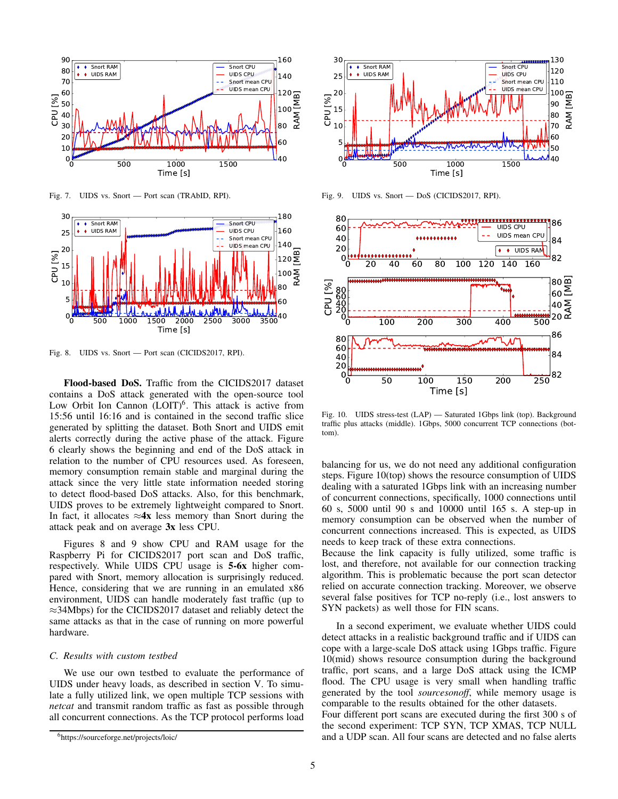

Fig. 7. UIDS vs. Snort — Port scan (TRAbID, RPI).



Fig. 8. UIDS vs. Snort — Port scan (CICIDS2017, RPI).

Flood-based DoS. Traffic from the CICIDS2017 dataset contains a DoS attack generated with the open-source tool Low Orbit Ion Cannon (LOIT)<sup>6</sup>. This attack is active from 15:56 until 16:16 and is contained in the second traffic slice generated by splitting the dataset. Both Snort and UIDS emit alerts correctly during the active phase of the attack. Figure 6 clearly shows the beginning and end of the DoS attack in relation to the number of CPU resources used. As foreseen, memory consumption remain stable and marginal during the attack since the very little state information needed storing to detect flood-based DoS attacks. Also, for this benchmark, UIDS proves to be extremely lightweight compared to Snort. In fact, it allocates  $\approx 4x$  less memory than Snort during the attack peak and on average 3x less CPU.

Figures 8 and 9 show CPU and RAM usage for the Raspberry Pi for CICIDS2017 port scan and DoS traffic, respectively. While UIDS CPU usage is 5-6x higher compared with Snort, memory allocation is surprisingly reduced. Hence, considering that we are running in an emulated x86 environment, UIDS can handle moderately fast traffic (up to ≈34Mbps) for the CICIDS2017 dataset and reliably detect the same attacks as that in the case of running on more powerful hardware.

## *C. Results with custom testbed*

We use our own testbed to evaluate the performance of UIDS under heavy loads, as described in section V. To simulate a fully utilized link, we open multiple TCP sessions with *netcat* and transmit random traffic as fast as possible through all concurrent connections. As the TCP protocol performs load



Fig. 9. UIDS vs. Snort — DoS (CICIDS2017, RPI).



Fig. 10. UIDS stress-test (LAP) — Saturated 1Gbps link (top). Background traffic plus attacks (middle). 1Gbps, 5000 concurrent TCP connections (bottom).

balancing for us, we do not need any additional configuration steps. Figure 10(top) shows the resource consumption of UIDS dealing with a saturated 1Gbps link with an increasing number of concurrent connections, specifically, 1000 connections until 60 s, 5000 until 90 s and 10000 until 165 s. A step-up in memory consumption can be observed when the number of concurrent connections increased. This is expected, as UIDS needs to keep track of these extra connections.

Because the link capacity is fully utilized, some traffic is lost, and therefore, not available for our connection tracking algorithm. This is problematic because the port scan detector relied on accurate connection tracking. Moreover, we observe several false positives for TCP no-reply (i.e., lost answers to SYN packets) as well those for FIN scans.

In a second experiment, we evaluate whether UIDS could detect attacks in a realistic background traffic and if UIDS can cope with a large-scale DoS attack using 1Gbps traffic. Figure 10(mid) shows resource consumption during the background traffic, port scans, and a large DoS attack using the ICMP flood. The CPU usage is very small when handling traffic generated by the tool *sourcesonoff*, while memory usage is comparable to the results obtained for the other datasets. Four different port scans are executed during the first 300 s of the second experiment: TCP SYN, TCP XMAS, TCP NULL and a UDP scan. All four scans are detected and no false alerts